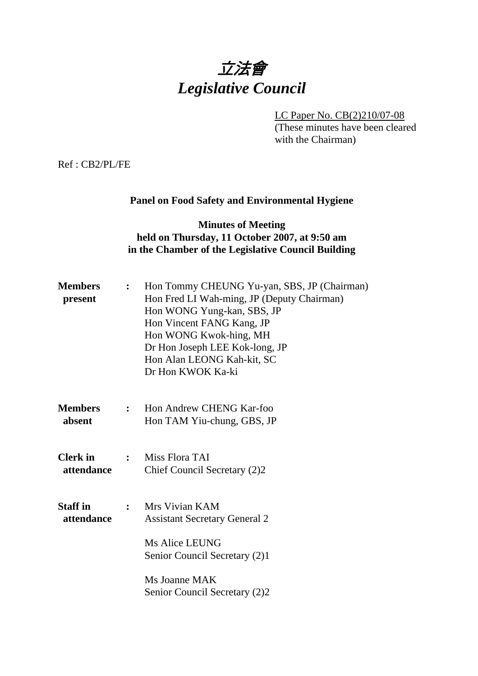# 立法會 *Legislative Council*

LC Paper No. CB(2)210/07-08 (These minutes have been cleared with the Chairman)

Ref : CB2/PL/FE

#### **Panel on Food Safety and Environmental Hygiene**

#### **Minutes of Meeting held on Thursday, 11 October 2007, at 9:50 am in the Chamber of the Legislative Council Building**

| <b>Members</b><br>present     | $\ddot{\cdot}$ | Hon Tommy CHEUNG Yu-yan, SBS, JP (Chairman)<br>Hon Fred LI Wah-ming, JP (Deputy Chairman)<br>Hon WONG Yung-kan, SBS, JP<br>Hon Vincent FANG Kang, JP<br>Hon WONG Kwok-hing, MH<br>Dr Hon Joseph LEE Kok-long, JP<br>Hon Alan LEONG Kah-kit, SC<br>Dr Hon KWOK Ka-ki |
|-------------------------------|----------------|---------------------------------------------------------------------------------------------------------------------------------------------------------------------------------------------------------------------------------------------------------------------|
| <b>Members</b><br>absent      | $\mathbf{L}$   | Hon Andrew CHENG Kar-foo<br>Hon TAM Yiu-chung, GBS, JP                                                                                                                                                                                                              |
| <b>Clerk</b> in<br>attendance |                | : Miss Flora TAI<br>Chief Council Secretary (2)2                                                                                                                                                                                                                    |
| <b>Staff in</b><br>attendance | $\mathbf{L}$   | Mrs Vivian KAM<br><b>Assistant Secretary General 2</b>                                                                                                                                                                                                              |
|                               |                | Ms Alice LEUNG<br>Senior Council Secretary (2)1                                                                                                                                                                                                                     |
|                               |                | Ms Joanne MAK<br>Senior Council Secretary (2)2                                                                                                                                                                                                                      |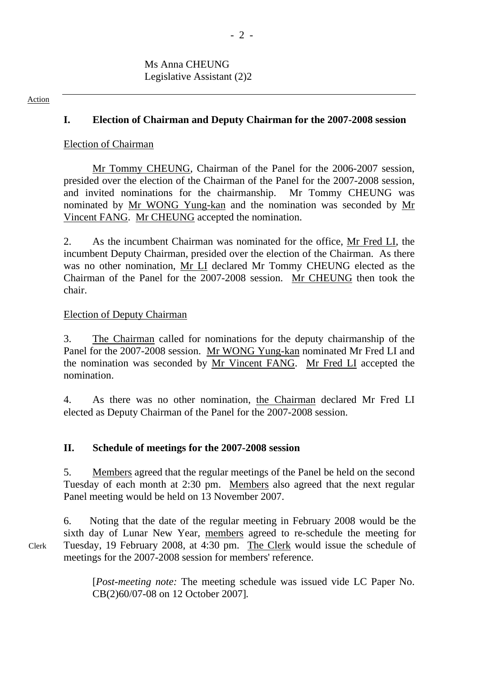#### Action

#### **I. Election of Chairman and Deputy Chairman for the 2007-2008 session**

#### Election of Chairman

Mr Tommy CHEUNG, Chairman of the Panel for the 2006-2007 session, presided over the election of the Chairman of the Panel for the 2007-2008 session, and invited nominations for the chairmanship. Mr Tommy CHEUNG was nominated by Mr WONG Yung-kan and the nomination was seconded by Mr Vincent FANG. Mr CHEUNG accepted the nomination.

2. As the incumbent Chairman was nominated for the office, Mr Fred LI, the incumbent Deputy Chairman, presided over the election of the Chairman. As there was no other nomination, Mr LI declared Mr Tommy CHEUNG elected as the Chairman of the Panel for the 2007-2008 session. Mr CHEUNG then took the chair.

#### Election of Deputy Chairman

3. The Chairman called for nominations for the deputy chairmanship of the Panel for the 2007-2008 session. Mr WONG Yung-kan nominated Mr Fred LI and the nomination was seconded by Mr Vincent FANG. Mr Fred LI accepted the nomination.

4. As there was no other nomination, the Chairman declared Mr Fred LI elected as Deputy Chairman of the Panel for the 2007-2008 session.

#### **II. Schedule of meetings for the 2007-2008 session**

5. Members agreed that the regular meetings of the Panel be held on the second Tuesday of each month at 2:30 pm. Members also agreed that the next regular Panel meeting would be held on 13 November 2007.

6. Noting that the date of the regular meeting in February 2008 would be the sixth day of Lunar New Year, members agreed to re-schedule the meeting for Tuesday, 19 February 2008, at 4:30 pm. The Clerk would issue the schedule of meetings for the 2007-2008 session for members' reference.

> [*Post-meeting note:* The meeting schedule was issued vide LC Paper No. CB(2)60/07-08 on 12 October 2007]*.*

Clerk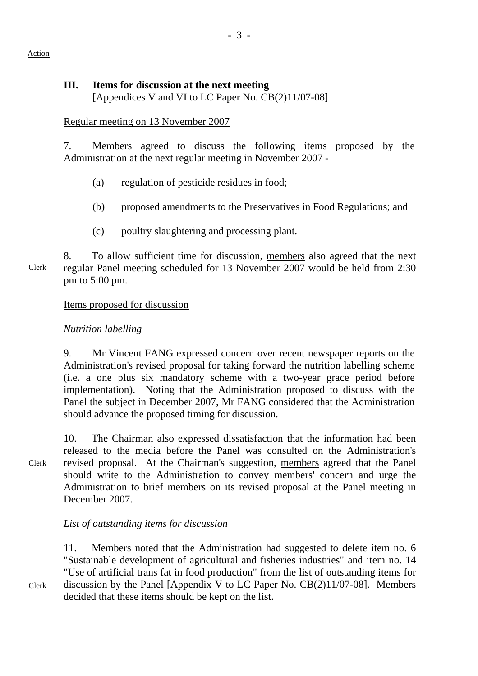#### Action

### **III. Items for discussion at the next meeting**

[Appendices V and VI to LC Paper No. CB(2)11/07-08]

# Regular meeting on 13 November 2007

7. Members agreed to discuss the following items proposed by the Administration at the next regular meeting in November 2007 -

- (a) regulation of pesticide residues in food;
- (b) proposed amendments to the Preservatives in Food Regulations; and
- (c) poultry slaughtering and processing plant.

Clerk 8. To allow sufficient time for discussion, members also agreed that the next regular Panel meeting scheduled for 13 November 2007 would be held from 2:30 pm to 5:00 pm.

# Items proposed for discussion

# *Nutrition labelling*

9. Mr Vincent FANG expressed concern over recent newspaper reports on the Administration's revised proposal for taking forward the nutrition labelling scheme (i.e. a one plus six mandatory scheme with a two-year grace period before implementation). Noting that the Administration proposed to discuss with the Panel the subject in December 2007, Mr FANG considered that the Administration should advance the proposed timing for discussion.

Clerk

10. The Chairman also expressed dissatisfaction that the information had been released to the media before the Panel was consulted on the Administration's revised proposal. At the Chairman's suggestion, members agreed that the Panel should write to the Administration to convey members' concern and urge the Administration to brief members on its revised proposal at the Panel meeting in December 2007.

# *List of outstanding items for discussion*

11. Members noted that the Administration had suggested to delete item no. 6 "Sustainable development of agricultural and fisheries industries" and item no. 14 "Use of artificial trans fat in food production" from the list of outstanding items for discussion by the Panel [Appendix V to LC Paper No. CB(2)11/07-08]. Members decided that these items should be kept on the list.

Clerk